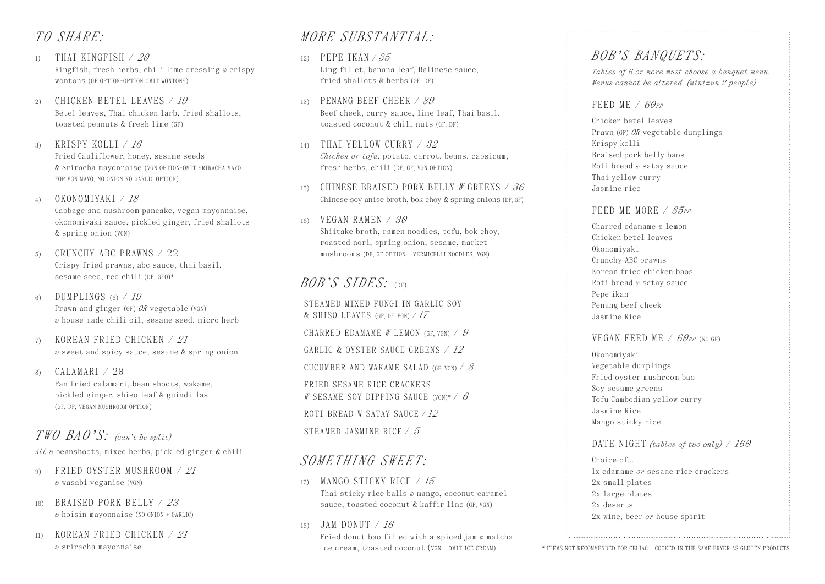### *TO SHARE:*

- 1) THAI KINGFISH / *20* Kingfish, fresh herbs, chili lime dressing *w* crispy wontons (GF OPTION-OPTION OMIT WONTONS)
- 2) CHICKEN BETEL LEAVES / *19* Betel leaves, Thai chicken larb, fried shallots, toasted peanuts & fresh lime (GF)
- 3) KRISPY KOLLI / *16* Fried Cauliflower, honey, sesame seeds & Sriracha mayonnaise (VGN OPTION-OMIT SRIRACHA MAYO FOR VGN MAYO, NO ONION NO GARLIC OPTION)
- 4) OKONOMIYAKI / *18* Cabbage and mushroom pancake, vegan mayonnaise, okonomiyaki sauce, pickled ginger, fried shallots & spring onion (VGN)
- $5)$  CRUNCHY ABC PRAWNS / 22 Crispy fried prawns, abc sauce, thai basil, sesame seed, red chili (DF, GFO)\*
- 6) DUMPLINGS (6) / *19* Prawn and ginger (GF) *OR* vegetable (VGN) *w* house made chili oil, sesame seed, micro herb
- 7) KOREAN FRIED CHICKEN / *21 w* sweet and spicy sauce, sesame & spring onion
- 8)  $CALAMARI / 20$ Pan fried calamari, bean shoots, wakame, pickled ginger, shiso leaf & guindillas (GF, DF, VEGAN MUSHROOM OPTION)

## *TWO BAO'S: (can't be split)*

*All w* beanshoots, mixed herbs, pickled ginger & chili

- 9) FRIED OYSTER MUSHROOM / *21 w* wasabi veganise (VGN)
- 10) BRAISED PORK BELLY / *23 w* hoisin mayonnaise (NO ONION + GARLIC)
- 11) KOREAN FRIED CHICKEN / *21 w* sriracha mayonnaise

## *MORE SUBSTANTIAL:*

- 12) PEPE IKAN / *35* Ling fillet, banana leaf, Balinese sauce, fried shallots & herbs (GF, DF)
- 13) PENANG BEEF CHEEK / *39* Beef cheek, curry sauce, lime leaf, Thai basil, toasted coconut & chili nuts (GF, DF)
- 14) THAI YELLOW CURRY / *32 Chicken or tofu*, potato, carrot, beans, capsicum, fresh herbs, chili (DF, GF, VGN OPTION)
- 15) CHINESE BRAISED PORK BELLY *W* GREENS / *36* Chinese soy anise broth, bok choy & spring onions (DF, GF)
- 16) VEGAN RAMEN / *30*

Shiitake broth, ramen noodles, tofu, bok choy, roasted nori, spring onion, sesame, market mushrooms (DF, GF OPTION - VERMICELLI NOODLES, VGN)

## *BOB'S SIDES:* (DF)

STEAMED MIXED FUNGI IN GARLIC SOY & SHISO LEAVES (GF, DF, VGN) / *17*

CHARRED EDAMAME *W* LEMON (GF, VGN) / *9*

GARLIC & OYSTER SAUCE GREENS / *12*

CUCUMBER AND WAKAME SALAD (GF, VGN) / *8*

FRIED SESAME RICE CRACKERS *W* SESAME SOY DIPPING SAUCE (VGN)\* / *6* ROTI BREAD W SATAY SAUCE / *12* STEAMED JASMINE RICE / *5*

### *SOMETHING SWEET:*

- 17) MANGO STICKY RICE / *15* Thai sticky rice balls *w* mango, coconut caramel sauce, toasted coconut & kaffir lime (GF, VGN)
- 18) JAM DONUT / *16*

Fried donut bao filled with a spiced jam *w* matcha ice cream, toasted coconut (VGN - OMIT ICE CREAM)

# *BOB'S BANQUETS:*

*Tables of 6 or more must choose a banquet menu. Menus cannot be altered. (minimun 2 people)*

### FEED ME /  $60_{PP}$

Chicken betel leaves Prawn (GF) *OR* vegetable dumplings Krispy kolli Braised pork belly baos Roti bread *w* satay sauce Thai yellow curry Jasmine rice

### FEED ME MORE / 85<sub>PP</sub>

Charred edamame *w* lemon Chicken betel leaves Okonomiyaki Crunchy ABC prawns Korean fried chicken baos Roti bread *w* satay sauce Pepe ikan Penang beef cheek Jasmine Rice

### VEGAN FEED ME / *60PP* (NO GF)

Okonomiyaki Vegetable dumplings Fried oyster mushroom bao Soy sesame greens Tofu Cambodian yellow curry Jasmine Rice Mango sticky rice

### DATE NIGHT *(tables of two only)* / *160*

Choice of 1x edamame *or* sesame rice crackers 2x small plates 2x large plates 2x deserts 2x wine, beer *or* house spirit

\* ITEMS NOT RECOMMENDED FOR CELIAC - COOKED IN THE SAME FRYER AS GLUTEN PRODUCTS